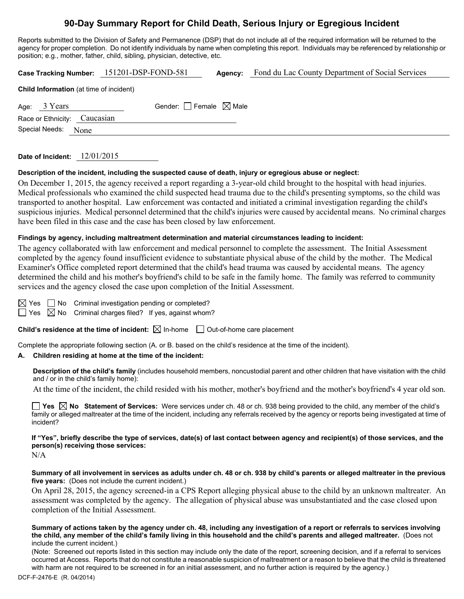## **90-Day Summary Report for Child Death, Serious Injury or Egregious Incident**

Reports submitted to the Division of Safety and Permanence (DSP) that do not include all of the required information will be returned to the agency for proper completion. Do not identify individuals by name when completing this report. Individuals may be referenced by relationship or position; e.g., mother, father, child, sibling, physician, detective, etc.

|                                                | Case Tracking Number: 151201-DSP-FOND-581 | Agency: | Fond du Lac County Department of Social Services |  |  |  |  |  |
|------------------------------------------------|-------------------------------------------|---------|--------------------------------------------------|--|--|--|--|--|
| <b>Child Information</b> (at time of incident) |                                           |         |                                                  |  |  |  |  |  |
| Age: 3 Years                                   | Gender: Female $\boxtimes$ Male           |         |                                                  |  |  |  |  |  |
| Race or Ethnicity: Caucasian                   |                                           |         |                                                  |  |  |  |  |  |
| Special Needs:<br>None                         |                                           |         |                                                  |  |  |  |  |  |
|                                                |                                           |         |                                                  |  |  |  |  |  |

**Date of Incident:** 12/01/2015

### **Description of the incident, including the suspected cause of death, injury or egregious abuse or neglect:**

On December 1, 2015, the agency received a report regarding a 3-year-old child brought to the hospital with head injuries. Medical professionals who examined the child suspected head trauma due to the child's presenting symptoms, so the child was transported to another hospital. Law enforcement was contacted and initiated a criminal investigation regarding the child's suspicious injuries. Medical personnel determined that the child's injuries were caused by accidental means. No criminal charges have been filed in this case and the case has been closed by law enforcement.

### **Findings by agency, including maltreatment determination and material circumstances leading to incident:**

The agency collaborated with law enforcement and medical personnel to complete the assessment. The Initial Assessment completed by the agency found insufficient evidence to substantiate physical abuse of the child by the mother. The Medical Examiner's Office completed report determined that the child's head trauma was caused by accidental means. The agency determined the child and his mother's boyfriend's child to be safe in the family home. The family was referred to community services and the agency closed the case upon completion of the Initial Assessment.

 $\Box$  No Criminal investigation pending or completed?

Yes  $\boxtimes$  No Criminal charges filed? If yes, against whom?

**Child's residence at the time of incident:**  $\boxtimes$  In-home  $\Box$  Out-of-home care placement

Complete the appropriate following section (A. or B. based on the child's residence at the time of the incident).

### **A. Children residing at home at the time of the incident:**

**Description of the child's family** (includes household members, noncustodial parent and other children that have visitation with the child and / or in the child's family home):

At the time of the incident, the child resided with his mother, mother's boyfriend and the mother's boyfriend's 4 year old son.

**Yes**  $\boxtimes$  **No** Statement of Services: Were services under ch. 48 or ch. 938 being provided to the child, any member of the child's family or alleged maltreater at the time of the incident, including any referrals received by the agency or reports being investigated at time of incident?

**If "Yes", briefly describe the type of services, date(s) of last contact between agency and recipient(s) of those services, and the person(s) receiving those services:** 

 $N/A$ 

**Summary of all involvement in services as adults under ch. 48 or ch. 938 by child's parents or alleged maltreater in the previous five years:** (Does not include the current incident.)

On April 28, 2015, the agency screened-in a CPS Report alleging physical abuse to the child by an unknown maltreater. An assessment was completed by the agency. The allegation of physical abuse was unsubstantiated and the case closed upon completion of the Initial Assessment.

**Summary of actions taken by the agency under ch. 48, including any investigation of a report or referrals to services involving the child, any member of the child's family living in this household and the child's parents and alleged maltreater.** (Does not include the current incident.)

(Note: Screened out reports listed in this section may include only the date of the report, screening decision, and if a referral to services occurred at Access. Reports that do not constitute a reasonable suspicion of maltreatment or a reason to believe that the child is threatened with harm are not required to be screened in for an initial assessment, and no further action is required by the agency.)